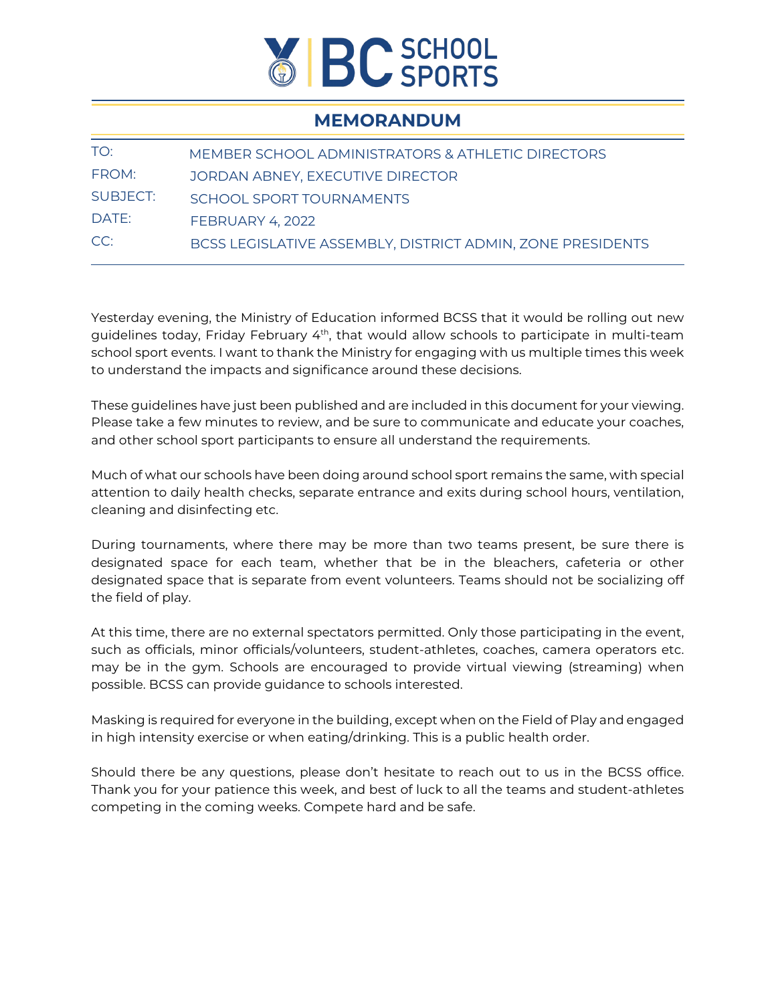

## **MEMORANDUM**

| TO:      | MEMBER SCHOOL ADMINISTRATORS & ATHLETIC DIRECTORS          |
|----------|------------------------------------------------------------|
| FROM:    | JORDAN ABNEY, EXECUTIVE DIRECTOR                           |
| SUBJECT: | SCHOOL SPORT TOURNAMENTS                                   |
| DATE:    | <b>FEBRUARY 4, 2022</b>                                    |
| CC:      | BCSS LEGISLATIVE ASSEMBLY, DISTRICT ADMIN, ZONE PRESIDENTS |

Yesterday evening, the Ministry of Education informed BCSS that it would be rolling out new guidelines today, Friday February  $4<sup>th</sup>$ , that would allow schools to participate in multi-team school sport events. I want to thank the Ministry for engaging with us multiple times this week to understand the impacts and significance around these decisions.

These guidelines have just been published and are included in this document for your viewing. Please take a few minutes to review, and be sure to communicate and educate your coaches, and other school sport participants to ensure all understand the requirements.

Much of what our schools have been doing around school sport remains the same, with special attention to daily health checks, separate entrance and exits during school hours, ventilation, cleaning and disinfecting etc.

During tournaments, where there may be more than two teams present, be sure there is designated space for each team, whether that be in the bleachers, cafeteria or other designated space that is separate from event volunteers. Teams should not be socializing off the field of play.

At this time, there are no external spectators permitted. Only those participating in the event, such as officials, minor officials/volunteers, student-athletes, coaches, camera operators etc. may be in the gym. Schools are encouraged to provide virtual viewing (streaming) when possible. BCSS can provide guidance to schools interested.

Masking is required for everyone in the building, except when on the Field of Play and engaged in high intensity exercise or when eating/drinking. This is a public health order.

Should there be any questions, please don't hesitate to reach out to us in the BCSS office. Thank you for your patience this week, and best of luck to all the teams and student-athletes competing in the coming weeks. Compete hard and be safe.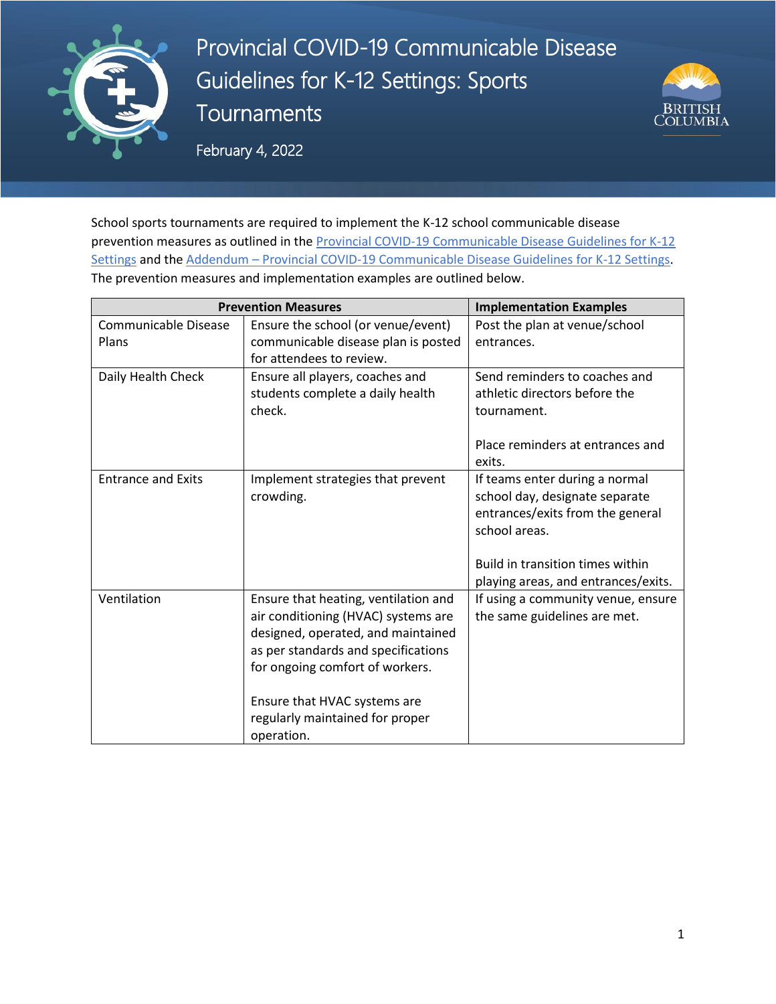

Provincial COVID-19 Communicable Disease Guidelines for K-12 Settings: Sports **Tournaments** 



February 4, 2022

School sports tournaments are required to implement the K-12 school communicable disease prevention measures as outlined in the **Provincial COVID-19 Communicable Disease Guidelines for K-12** [Settings](https://www2.gov.bc.ca/assets/gov/education/administration/kindergarten-to-grade-12/safe-caring-orderly/k-12-covid-19-health-safety-guidlines.pdf) and the Addendum - [Provincial COVID-19 Communicable Disease Guidelines for K-12 Settings.](https://www2.gov.bc.ca/assets/gov/education/administration/kindergarten-to-grade-12/safe-caring-orderly/k-12-covid-19-health-safety-guidelines-addendum.pdf) The prevention measures and implementation examples are outlined below.

| <b>Prevention Measures</b>    | <b>Implementation Examples</b>                                                                                                                                                                                                                                               |                                                                                                                                                                                                  |
|-------------------------------|------------------------------------------------------------------------------------------------------------------------------------------------------------------------------------------------------------------------------------------------------------------------------|--------------------------------------------------------------------------------------------------------------------------------------------------------------------------------------------------|
| Communicable Disease<br>Plans | Ensure the school (or venue/event)<br>communicable disease plan is posted                                                                                                                                                                                                    | Post the plan at venue/school<br>entrances.                                                                                                                                                      |
|                               | for attendees to review.                                                                                                                                                                                                                                                     |                                                                                                                                                                                                  |
| Daily Health Check            | Ensure all players, coaches and<br>students complete a daily health<br>check.                                                                                                                                                                                                | Send reminders to coaches and<br>athletic directors before the<br>tournament.                                                                                                                    |
|                               |                                                                                                                                                                                                                                                                              | Place reminders at entrances and<br>exits.                                                                                                                                                       |
| <b>Entrance and Exits</b>     | Implement strategies that prevent<br>crowding.                                                                                                                                                                                                                               | If teams enter during a normal<br>school day, designate separate<br>entrances/exits from the general<br>school areas.<br>Build in transition times within<br>playing areas, and entrances/exits. |
| Ventilation                   | Ensure that heating, ventilation and<br>air conditioning (HVAC) systems are<br>designed, operated, and maintained<br>as per standards and specifications<br>for ongoing comfort of workers.<br>Ensure that HVAC systems are<br>regularly maintained for proper<br>operation. | If using a community venue, ensure<br>the same guidelines are met.                                                                                                                               |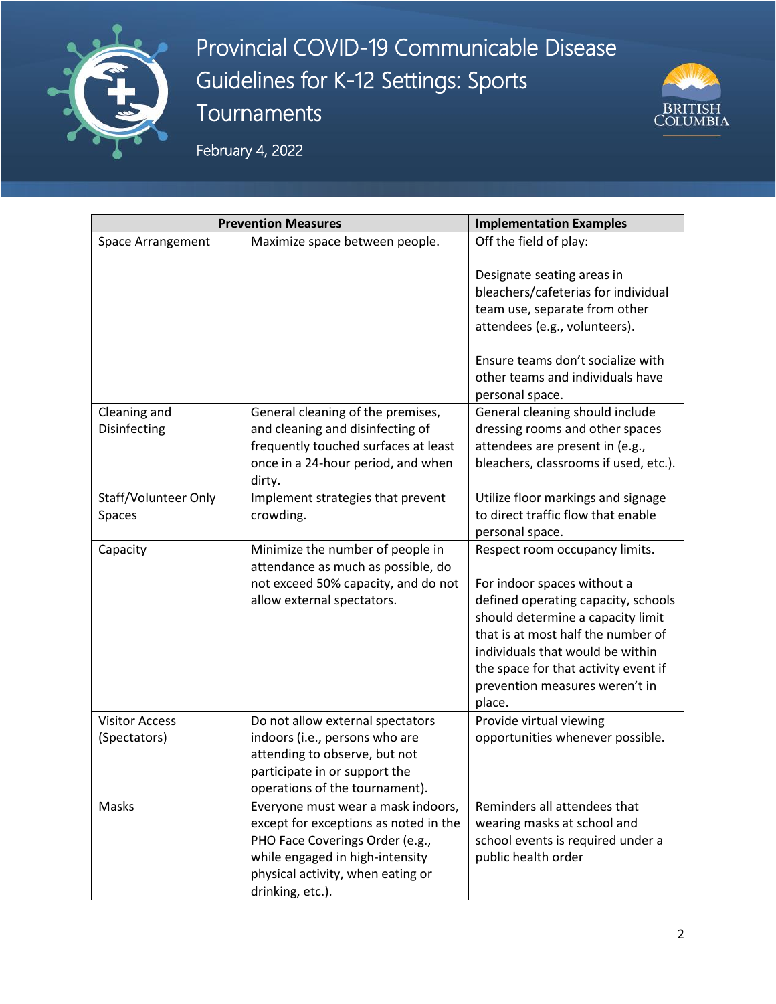

Provincial COVID-19 Communicable Disease Guidelines for K-12 Settings: Sports **Tournaments** 



February 4, 2022

| <b>Prevention Measures</b>            |                                                                                                                                                                                                            | <b>Implementation Examples</b>                                                                                                                                                                                                                                                                          |
|---------------------------------------|------------------------------------------------------------------------------------------------------------------------------------------------------------------------------------------------------------|---------------------------------------------------------------------------------------------------------------------------------------------------------------------------------------------------------------------------------------------------------------------------------------------------------|
| Space Arrangement                     | Maximize space between people.                                                                                                                                                                             | Off the field of play:                                                                                                                                                                                                                                                                                  |
|                                       |                                                                                                                                                                                                            | Designate seating areas in<br>bleachers/cafeterias for individual<br>team use, separate from other<br>attendees (e.g., volunteers).<br>Ensure teams don't socialize with<br>other teams and individuals have<br>personal space.                                                                         |
| Cleaning and<br>Disinfecting          | General cleaning of the premises,<br>and cleaning and disinfecting of<br>frequently touched surfaces at least<br>once in a 24-hour period, and when<br>dirty.                                              | General cleaning should include<br>dressing rooms and other spaces<br>attendees are present in (e.g.,<br>bleachers, classrooms if used, etc.).                                                                                                                                                          |
| Staff/Volunteer Only<br>Spaces        | Implement strategies that prevent<br>crowding.                                                                                                                                                             | Utilize floor markings and signage<br>to direct traffic flow that enable<br>personal space.                                                                                                                                                                                                             |
| Capacity                              | Minimize the number of people in<br>attendance as much as possible, do<br>not exceed 50% capacity, and do not<br>allow external spectators.                                                                | Respect room occupancy limits.<br>For indoor spaces without a<br>defined operating capacity, schools<br>should determine a capacity limit<br>that is at most half the number of<br>individuals that would be within<br>the space for that activity event if<br>prevention measures weren't in<br>place. |
| <b>Visitor Access</b><br>(Spectators) | Do not allow external spectators<br>indoors (i.e., persons who are<br>attending to observe, but not<br>participate in or support the<br>operations of the tournament).                                     | Provide virtual viewing<br>opportunities whenever possible.                                                                                                                                                                                                                                             |
| Masks                                 | Everyone must wear a mask indoors,<br>except for exceptions as noted in the<br>PHO Face Coverings Order (e.g.,<br>while engaged in high-intensity<br>physical activity, when eating or<br>drinking, etc.). | Reminders all attendees that<br>wearing masks at school and<br>school events is required under a<br>public health order                                                                                                                                                                                 |